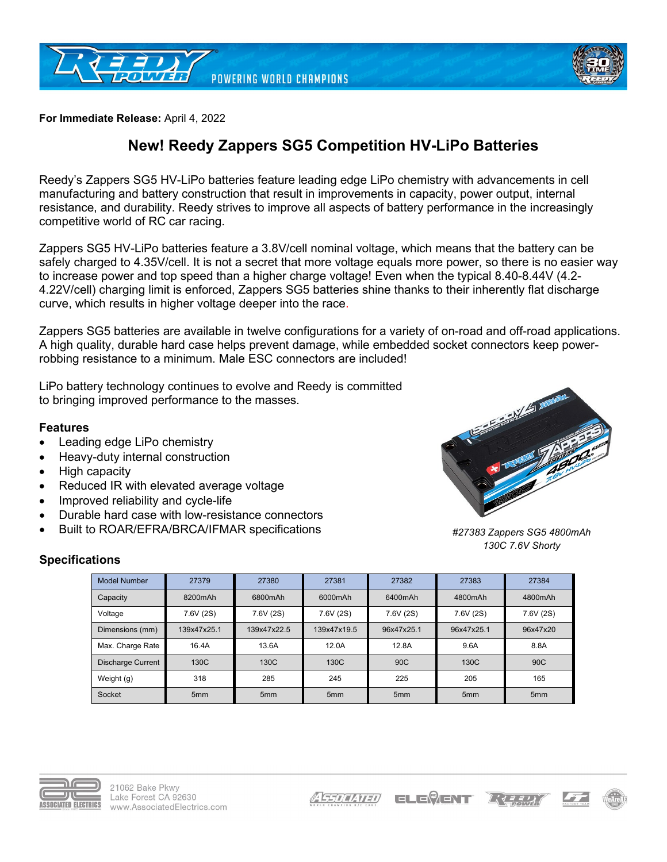



**For Immediate Release:** April 4, 2022

## **New! Reedy Zappers SG5 Competition HV-LiPo Batteries**

Reedy's Zappers SG5 HV-LiPo batteries feature leading edge LiPo chemistry with advancements in cell manufacturing and battery construction that result in improvements in capacity, power output, internal resistance, and durability. Reedy strives to improve all aspects of battery performance in the increasingly competitive world of RC car racing.

Zappers SG5 HV-LiPo batteries feature a 3.8V/cell nominal voltage, which means that the battery can be safely charged to 4.35V/cell. It is not a secret that more voltage equals more power, so there is no easier way to increase power and top speed than a higher charge voltage! Even when the typical 8.40-8.44V (4.2-4.22V/cell) charging limit is enforced, Zappers SG5 batteries shine thanks to their inherently flat discharge curve, which results in higher voltage deeper into the race.

Zappers SG5 batteries are available in twelve configurations for a variety of on-road and off-road applications. A high quality, durable hard case helps prevent damage, while embedded socket connectors keep powerrobbing resistance to a minimum. Male ESC connectors are included!

LiPo battery technology continues to evolve and Reedy is committed to bringing improved performance to the masses.

## **Features**

- Leading edge LiPo chemistry
- Heavy-duty internal construction
- High capacity
- Reduced IR with elevated average voltage
- Improved reliability and cycle-life
- Durable hard case with low-resistance connectors
- Built to ROAR/EFRA/BRCA/IFMAR specifications



*#27383 Zappers SG5 4800mAh 130C 7.6V Shorty*

## **Specifications**

| <b>Model Number</b> | 27379           | 27380           | 27381           | 27382           | 27383           | 27384           |
|---------------------|-----------------|-----------------|-----------------|-----------------|-----------------|-----------------|
| Capacity            | 8200mAh         | 6800mAh         | 6000mAh         | 6400mAh         | 4800mAh         | 4800mAh         |
| Voltage             | 7.6V (2S)       | 7.6V (2S)       | 7.6V (2S)       | 7.6V (2S)       | 7.6V (2S)       | 7.6V (2S)       |
| Dimensions (mm)     | 139x47x25.1     | 139x47x22.5     | 139x47x19.5     | 96x47x25.1      | 96x47x25.1      | 96x47x20        |
| Max. Charge Rate    | 16.4A           | 13.6A           | 12.0A           | 12.8A           | 9.6A            | 8.8A            |
| Discharge Current   | 130C            | 130C            | 130C            | 90 <sub>C</sub> | 130C            | 90 <sub>C</sub> |
| Weight (g)          | 318             | 285             | 245             | 225             | 205             | 165             |
| Socket              | 5 <sub>mm</sub> | 5 <sub>mm</sub> | 5 <sub>mm</sub> | 5 <sub>mm</sub> | 5 <sub>mm</sub> | 5 <sub>mm</sub> |



ELE<sup>@</sup>ENT  $L\left( \frac{1}{2},\frac{1}{2},\frac{1}{2}\right)$